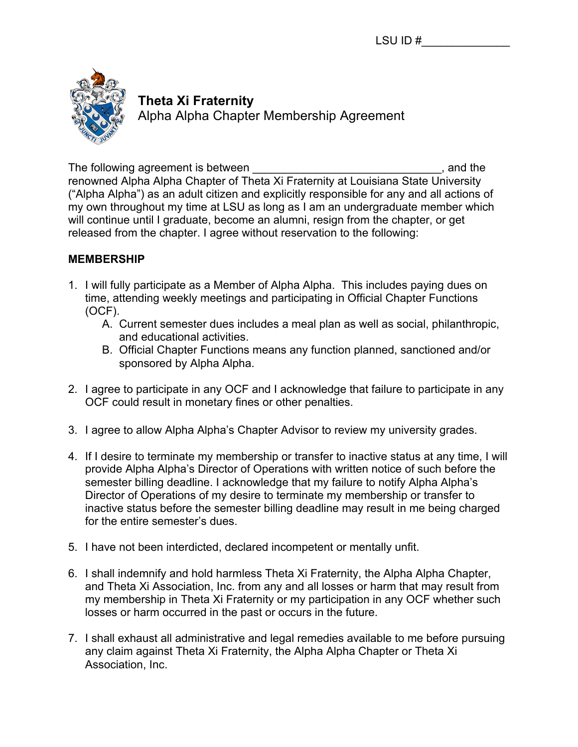

# **Theta Xi Fraternity**

Alpha Alpha Chapter Membership Agreement

The following agreement is between **The following agreement** is between renowned Alpha Alpha Chapter of Theta Xi Fraternity at Louisiana State University ("Alpha Alpha") as an adult citizen and explicitly responsible for any and all actions of my own throughout my time at LSU as long as I am an undergraduate member which will continue until I graduate, become an alumni, resign from the chapter, or get released from the chapter. I agree without reservation to the following:

## **MEMBERSHIP**

- 1. I will fully participate as a Member of Alpha Alpha. This includes paying dues on time, attending weekly meetings and participating in Official Chapter Functions (OCF).
	- A. Current semester dues includes a meal plan as well as social, philanthropic, and educational activities.
	- B. Official Chapter Functions means any function planned, sanctioned and/or sponsored by Alpha Alpha.
- 2. I agree to participate in any OCF and I acknowledge that failure to participate in any OCF could result in monetary fines or other penalties.
- 3. I agree to allow Alpha Alpha's Chapter Advisor to review my university grades.
- 4. If I desire to terminate my membership or transfer to inactive status at any time, I will provide Alpha Alpha's Director of Operations with written notice of such before the semester billing deadline. I acknowledge that my failure to notify Alpha Alpha's Director of Operations of my desire to terminate my membership or transfer to inactive status before the semester billing deadline may result in me being charged for the entire semester's dues.
- 5. I have not been interdicted, declared incompetent or mentally unfit.
- 6. I shall indemnify and hold harmless Theta Xi Fraternity, the Alpha Alpha Chapter, and Theta Xi Association, Inc. from any and all losses or harm that may result from my membership in Theta Xi Fraternity or my participation in any OCF whether such losses or harm occurred in the past or occurs in the future.
- 7. I shall exhaust all administrative and legal remedies available to me before pursuing any claim against Theta Xi Fraternity, the Alpha Alpha Chapter or Theta Xi Association, Inc.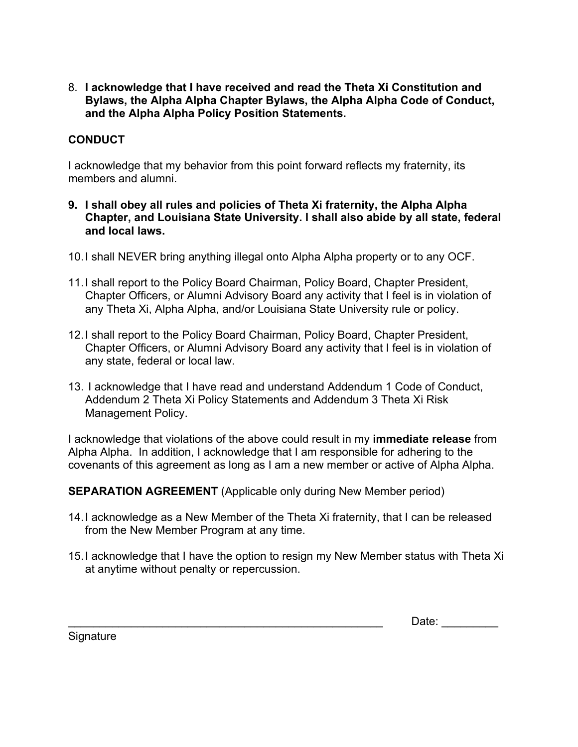8. **I acknowledge that I have received and read the Theta Xi Constitution and Bylaws, the Alpha Alpha Chapter Bylaws, the Alpha Alpha Code of Conduct, and the Alpha Alpha Policy Position Statements.**

## **CONDUCT**

I acknowledge that my behavior from this point forward reflects my fraternity, its members and alumni.

- **9. I shall obey all rules and policies of Theta Xi fraternity, the Alpha Alpha Chapter, and Louisiana State University. I shall also abide by all state, federal and local laws.**
- 10.I shall NEVER bring anything illegal onto Alpha Alpha property or to any OCF.
- 11.I shall report to the Policy Board Chairman, Policy Board, Chapter President, Chapter Officers, or Alumni Advisory Board any activity that I feel is in violation of any Theta Xi, Alpha Alpha, and/or Louisiana State University rule or policy.
- 12.I shall report to the Policy Board Chairman, Policy Board, Chapter President, Chapter Officers, or Alumni Advisory Board any activity that I feel is in violation of any state, federal or local law.
- 13. I acknowledge that I have read and understand Addendum 1 Code of Conduct, Addendum 2 Theta Xi Policy Statements and Addendum 3 Theta Xi Risk Management Policy.

I acknowledge that violations of the above could result in my **immediate release** from Alpha Alpha. In addition, I acknowledge that I am responsible for adhering to the covenants of this agreement as long as I am a new member or active of Alpha Alpha.

**SEPARATION AGREEMENT** (Applicable only during New Member period)

- 14.I acknowledge as a New Member of the Theta Xi fraternity, that I can be released from the New Member Program at any time.
- 15.I acknowledge that I have the option to resign my New Member status with Theta Xi at anytime without penalty or repercussion.

Date:

Signature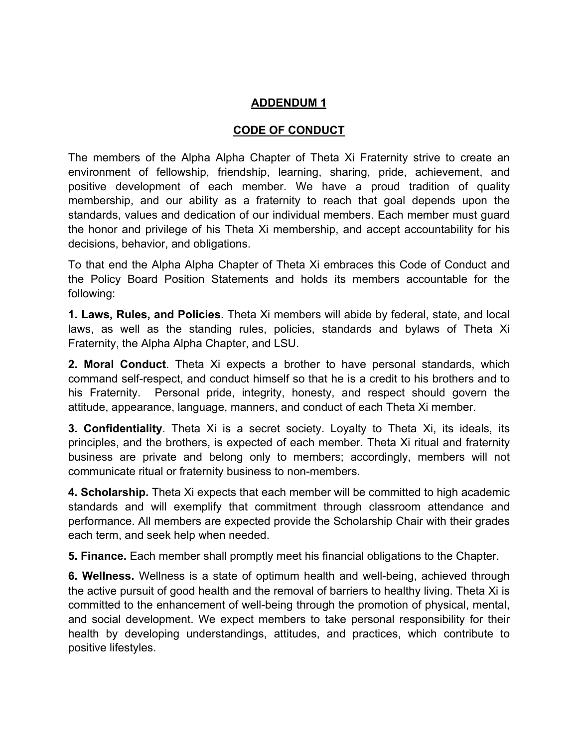## **ADDENDUM 1**

## **CODE OF CONDUCT**

The members of the Alpha Alpha Chapter of Theta Xi Fraternity strive to create an environment of fellowship, friendship, learning, sharing, pride, achievement, and positive development of each member. We have a proud tradition of quality membership, and our ability as a fraternity to reach that goal depends upon the standards, values and dedication of our individual members. Each member must guard the honor and privilege of his Theta Xi membership, and accept accountability for his decisions, behavior, and obligations.

To that end the Alpha Alpha Chapter of Theta Xi embraces this Code of Conduct and the Policy Board Position Statements and holds its members accountable for the following:

**1. Laws, Rules, and Policies**. Theta Xi members will abide by federal, state, and local laws, as well as the standing rules, policies, standards and bylaws of Theta Xi Fraternity, the Alpha Alpha Chapter, and LSU.

**2. Moral Conduct**. Theta Xi expects a brother to have personal standards, which command self-respect, and conduct himself so that he is a credit to his brothers and to his Fraternity. Personal pride, integrity, honesty, and respect should govern the attitude, appearance, language, manners, and conduct of each Theta Xi member.

**3. Confidentiality**. Theta Xi is a secret society. Loyalty to Theta Xi, its ideals, its principles, and the brothers, is expected of each member. Theta Xi ritual and fraternity business are private and belong only to members; accordingly, members will not communicate ritual or fraternity business to non-members.

**4. Scholarship.** Theta Xi expects that each member will be committed to high academic standards and will exemplify that commitment through classroom attendance and performance. All members are expected provide the Scholarship Chair with their grades each term, and seek help when needed.

**5. Finance.** Each member shall promptly meet his financial obligations to the Chapter.

**6. Wellness.** Wellness is a state of optimum health and well-being, achieved through the active pursuit of good health and the removal of barriers to healthy living. Theta Xi is committed to the enhancement of well-being through the promotion of physical, mental, and social development. We expect members to take personal responsibility for their health by developing understandings, attitudes, and practices, which contribute to positive lifestyles.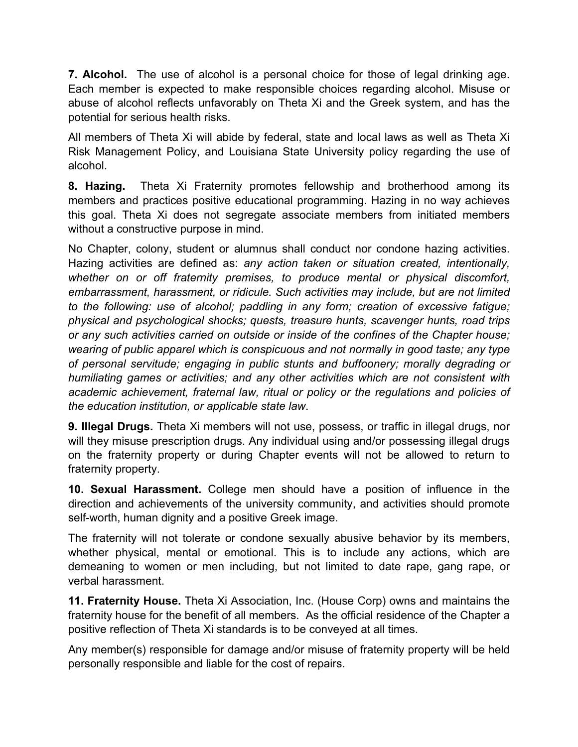**7. Alcohol.** The use of alcohol is a personal choice for those of legal drinking age. Each member is expected to make responsible choices regarding alcohol. Misuse or abuse of alcohol reflects unfavorably on Theta Xi and the Greek system, and has the potential for serious health risks.

All members of Theta Xi will abide by federal, state and local laws as well as Theta Xi Risk Management Policy, and Louisiana State University policy regarding the use of alcohol.

**8. Hazing.** Theta Xi Fraternity promotes fellowship and brotherhood among its members and practices positive educational programming. Hazing in no way achieves this goal. Theta Xi does not segregate associate members from initiated members without a constructive purpose in mind.

No Chapter, colony, student or alumnus shall conduct nor condone hazing activities. Hazing activities are defined as: *any action taken or situation created, intentionally, whether on or off fraternity premises, to produce mental or physical discomfort, embarrassment, harassment, or ridicule. Such activities may include, but are not limited to the following: use of alcohol; paddling in any form; creation of excessive fatigue; physical and psychological shocks; quests, treasure hunts, scavenger hunts, road trips or any such activities carried on outside or inside of the confines of the Chapter house; wearing of public apparel which is conspicuous and not normally in good taste; any type of personal servitude; engaging in public stunts and buffoonery; morally degrading or humiliating games or activities; and any other activities which are not consistent with academic achievement, fraternal law, ritual or policy or the regulations and policies of the education institution, or applicable state law*.

**9. Illegal Drugs.** Theta Xi members will not use, possess, or traffic in illegal drugs, nor will they misuse prescription drugs. Any individual using and/or possessing illegal drugs on the fraternity property or during Chapter events will not be allowed to return to fraternity property.

**10. Sexual Harassment.** College men should have a position of influence in the direction and achievements of the university community, and activities should promote self-worth, human dignity and a positive Greek image.

The fraternity will not tolerate or condone sexually abusive behavior by its members, whether physical, mental or emotional. This is to include any actions, which are demeaning to women or men including, but not limited to date rape, gang rape, or verbal harassment.

**11. Fraternity House.** Theta Xi Association, Inc. (House Corp) owns and maintains the fraternity house for the benefit of all members. As the official residence of the Chapter a positive reflection of Theta Xi standards is to be conveyed at all times.

Any member(s) responsible for damage and/or misuse of fraternity property will be held personally responsible and liable for the cost of repairs.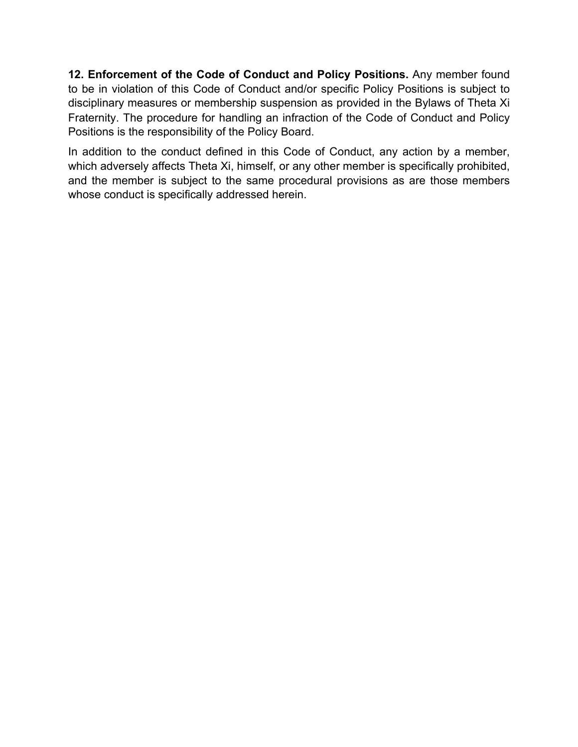**12. Enforcement of the Code of Conduct and Policy Positions.** Any member found to be in violation of this Code of Conduct and/or specific Policy Positions is subject to disciplinary measures or membership suspension as provided in the Bylaws of Theta Xi Fraternity. The procedure for handling an infraction of the Code of Conduct and Policy Positions is the responsibility of the Policy Board.

In addition to the conduct defined in this Code of Conduct, any action by a member, which adversely affects Theta Xi, himself, or any other member is specifically prohibited, and the member is subject to the same procedural provisions as are those members whose conduct is specifically addressed herein.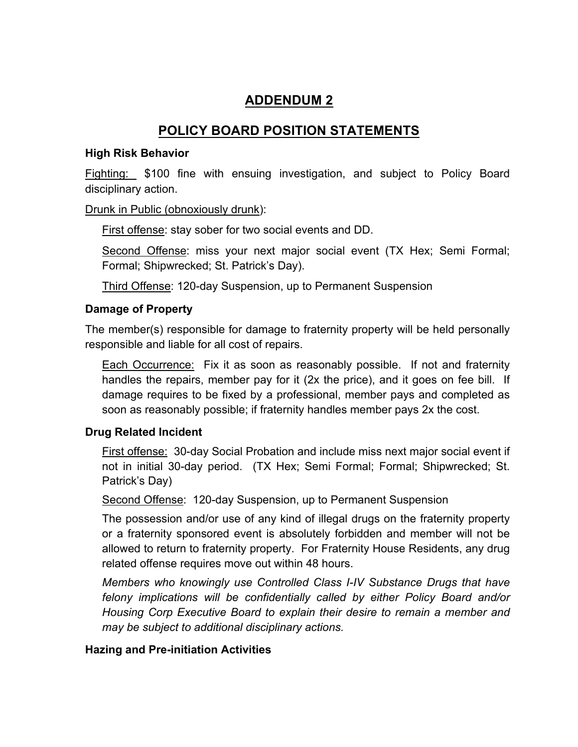# **ADDENDUM 2**

# **POLICY BOARD POSITION STATEMENTS**

#### **High Risk Behavior**

Fighting: \$100 fine with ensuing investigation, and subject to Policy Board disciplinary action.

#### Drunk in Public (obnoxiously drunk):

First offense: stay sober for two social events and DD.

Second Offense: miss your next major social event (TX Hex; Semi Formal; Formal; Shipwrecked; St. Patrick's Day).

Third Offense: 120-day Suspension, up to Permanent Suspension

#### **Damage of Property**

The member(s) responsible for damage to fraternity property will be held personally responsible and liable for all cost of repairs.

Each Occurrence: Fix it as soon as reasonably possible. If not and fraternity handles the repairs, member pay for it (2x the price), and it goes on fee bill. If damage requires to be fixed by a professional, member pays and completed as soon as reasonably possible; if fraternity handles member pays 2x the cost.

## **Drug Related Incident**

First offense: 30-day Social Probation and include miss next major social event if not in initial 30-day period. (TX Hex; Semi Formal; Formal; Shipwrecked; St. Patrick's Day)

Second Offense: 120-day Suspension, up to Permanent Suspension

The possession and/or use of any kind of illegal drugs on the fraternity property or a fraternity sponsored event is absolutely forbidden and member will not be allowed to return to fraternity property. For Fraternity House Residents, any drug related offense requires move out within 48 hours.

*Members who knowingly use Controlled Class I-IV Substance Drugs that have felony implications will be confidentially called by either Policy Board and/or Housing Corp Executive Board to explain their desire to remain a member and may be subject to additional disciplinary actions.*

## **Hazing and Pre-initiation Activities**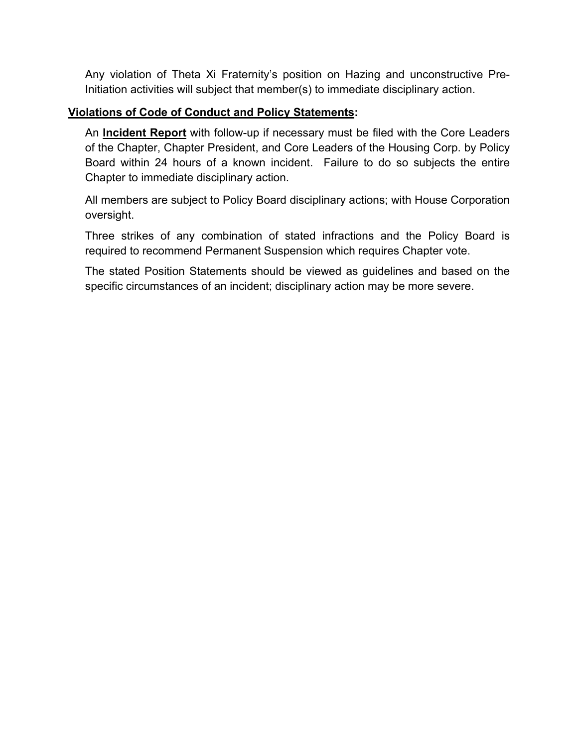Any violation of Theta Xi Fraternity's position on Hazing and unconstructive Pre-Initiation activities will subject that member(s) to immediate disciplinary action.

## **Violations of Code of Conduct and Policy Statements:**

An **Incident Report** with follow-up if necessary must be filed with the Core Leaders of the Chapter, Chapter President, and Core Leaders of the Housing Corp. by Policy Board within 24 hours of a known incident. Failure to do so subjects the entire Chapter to immediate disciplinary action.

All members are subject to Policy Board disciplinary actions; with House Corporation oversight.

Three strikes of any combination of stated infractions and the Policy Board is required to recommend Permanent Suspension which requires Chapter vote.

The stated Position Statements should be viewed as guidelines and based on the specific circumstances of an incident; disciplinary action may be more severe.